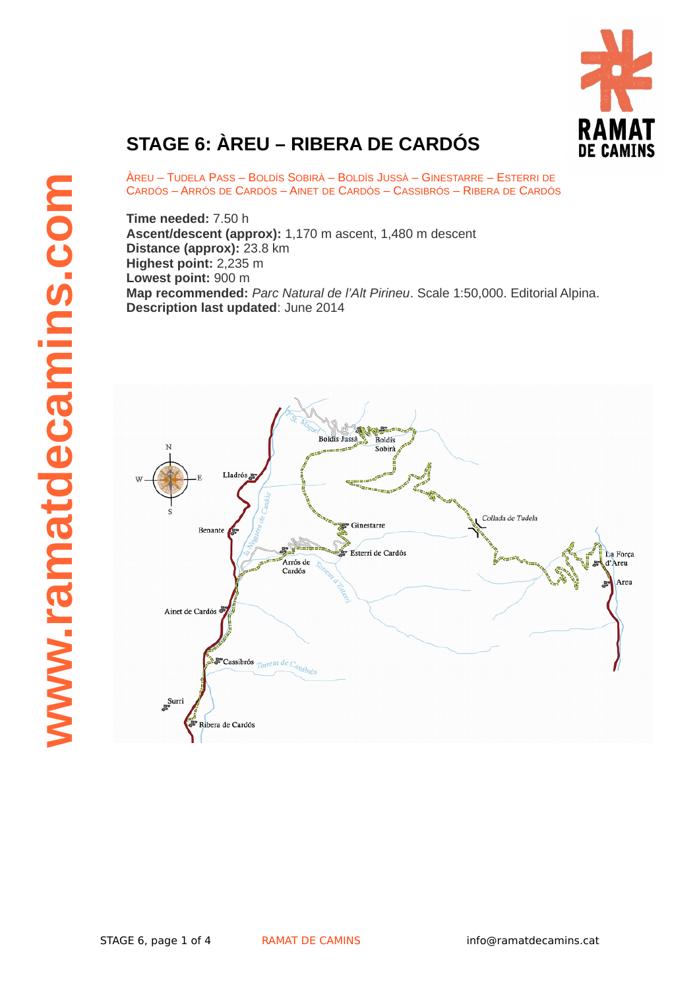

## **STAGE 6: ÀREU – RIBERA DE CARDÓS**

ÀREU – TUDELA PASS – BOLDÍS SOBIRÀ – BOLDÍS JUSSÀ – GINESTARRE – ESTERRI DE CARDÓS – ARRÓS DE CARDÓS – AINET DE CARDÓS – CASSIBRÓS – RIBERA DE CARDÓS

**Time needed:** 7.50 h **Ascent/descent (approx):** 1,170 m ascent, 1,480 m descent **Distance (approx):** 23.8 km **Highest point:** 2,235 m **Lowest point:** 900 m **Map recommended:** *Parc Natural de l'Alt Pirineu*. Scale 1:50,000. Editorial Alpina. **Description last updated**: June 2014

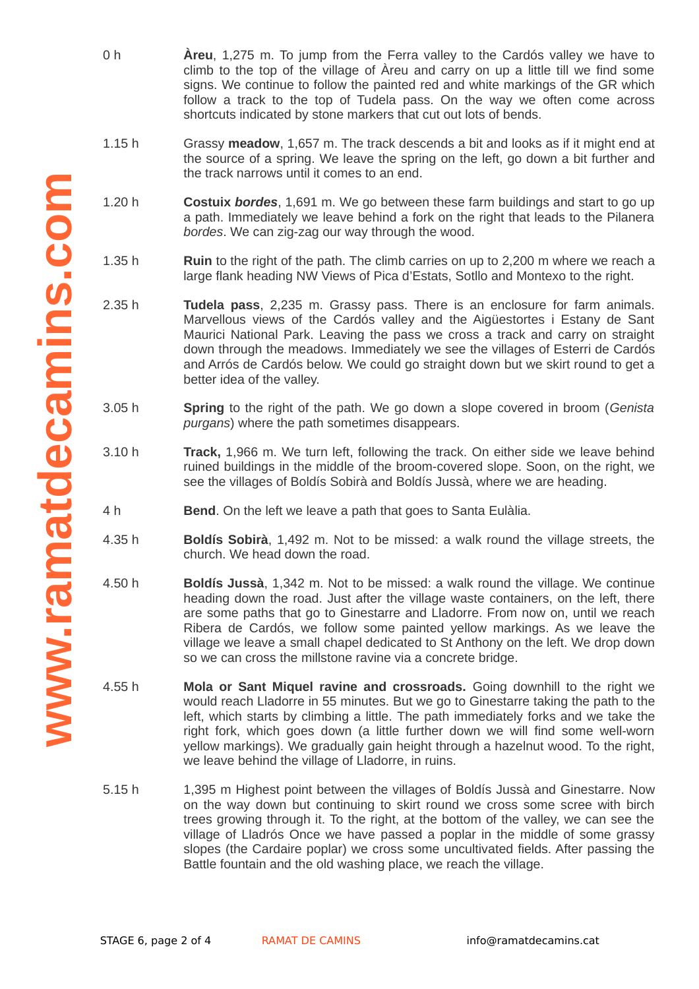- 0 h **Àreu**, 1,275 m. To jump from the Ferra valley to the Cardós valley we have to climb to the top of the village of Àreu and carry on up a little till we find some signs. We continue to follow the painted red and white markings of the GR which follow a track to the top of Tudela pass. On the way we often come across shortcuts indicated by stone markers that cut out lots of bends.
- 1.15 h Grassy **meadow**, 1,657 m. The track descends a bit and looks as if it might end at the source of a spring. We leave the spring on the left, go down a bit further and the track narrows until it comes to an end.
- 1.20 h **Costuix** *bordes*, 1,691 m. We go between these farm buildings and start to go up a path. Immediately we leave behind a fork on the right that leads to the Pilanera *bordes*. We can zig-zag our way through the wood.
- 1.35 h **Ruin** to the right of the path. The climb carries on up to 2,200 m where we reach a large flank heading NW Views of Pica d'Estats, Sotllo and Montexo to the right.
- 2.35 h **Tudela pass**, 2,235 m. Grassy pass. There is an enclosure for farm animals. Marvellous views of the Cardós valley and the Aigüestortes i Estany de Sant Maurici National Park. Leaving the pass we cross a track and carry on straight down through the meadows. Immediately we see the villages of Esterri de Cardós and Arrós de Cardós below. We could go straight down but we skirt round to get a better idea of the valley.
- 3.05 h **Spring** to the right of the path. We go down a slope covered in broom (*Genista purgans*) where the path sometimes disappears.
- 3.10 h **Track,** 1,966 m. We turn left, following the track. On either side we leave behind ruined buildings in the middle of the broom-covered slope. Soon, on the right, we see the villages of Boldís Sobirà and Boldís Jussà, where we are heading.
- 4 h **Bend**. On the left we leave a path that goes to Santa Eulàlia.
- 4.35 h **Boldís Sobirà**, 1,492 m. Not to be missed: a walk round the village streets, the church. We head down the road.
- 4.50 h **Boldís Jussà**, 1,342 m. Not to be missed: a walk round the village. We continue heading down the road. Just after the village waste containers, on the left, there are some paths that go to Ginestarre and Lladorre. From now on, until we reach Ribera de Cardós, we follow some painted yellow markings. As we leave the village we leave a small chapel dedicated to St Anthony on the left. We drop down so we can cross the millstone ravine via a concrete bridge.
- 4.55 h **Mola or Sant Miquel ravine and crossroads.** Going downhill to the right we would reach Lladorre in 55 minutes. But we go to Ginestarre taking the path to the left, which starts by climbing a little. The path immediately forks and we take the right fork, which goes down (a little further down we will find some well-worn yellow markings). We gradually gain height through a hazelnut wood. To the right, we leave behind the village of Lladorre, in ruins.
- 5.15 h 1,395 m Highest point between the villages of Boldís Jussà and Ginestarre. Now on the way down but continuing to skirt round we cross some scree with birch trees growing through it. To the right, at the bottom of the valley, we can see the village of Lladrós Once we have passed a poplar in the middle of some grassy slopes (the Cardaire poplar) we cross some uncultivated fields. After passing the Battle fountain and the old washing place, we reach the village.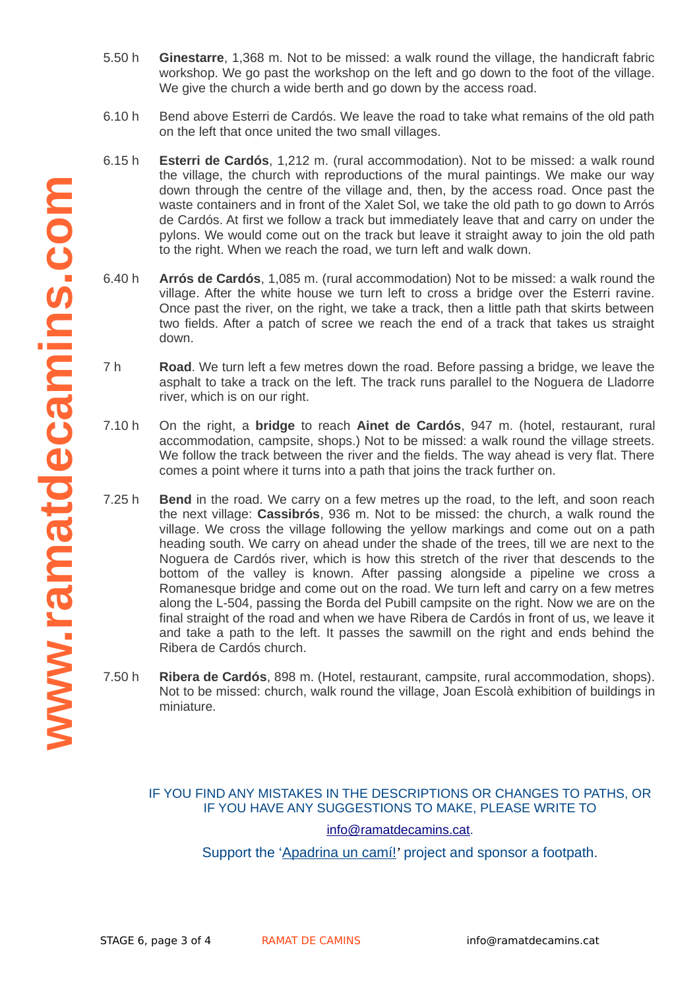- 5.50 h **Ginestarre**, 1,368 m. Not to be missed: a walk round the village, the handicraft fabric workshop. We go past the workshop on the left and go down to the foot of the village. We give the church a wide berth and go down by the access road.
- 6.10 h Bend above Esterri de Cardós. We leave the road to take what remains of the old path on the left that once united the two small villages.
- 6.15 h **Esterri de Cardós**, 1,212 m. (rural accommodation). Not to be missed: a walk round the village, the church with reproductions of the mural paintings. We make our way down through the centre of the village and, then, by the access road. Once past the waste containers and in front of the Xalet Sol, we take the old path to go down to Arrós de Cardós. At first we follow a track but immediately leave that and carry on under the pylons. We would come out on the track but leave it straight away to join the old path to the right. When we reach the road, we turn left and walk down.
- 6.40 h **Arrós de Cardós**, 1,085 m. (rural accommodation) Not to be missed: a walk round the village. After the white house we turn left to cross a bridge over the Esterri ravine. Once past the river, on the right, we take a track, then a little path that skirts between two fields. After a patch of scree we reach the end of a track that takes us straight down.
- 7 h **Road**. We turn left a few metres down the road. Before passing a bridge, we leave the asphalt to take a track on the left. The track runs parallel to the Noguera de Lladorre river, which is on our right.
- 7.10 h On the right, a **bridge** to reach **Ainet de Cardós**, 947 m. (hotel, restaurant, rural accommodation, campsite, shops.) Not to be missed: a walk round the village streets. We follow the track between the river and the fields. The way ahead is very flat. There comes a point where it turns into a path that joins the track further on.
- $7.25h$ **Bend** in the road. We carry on a few metres up the road, to the left, and soon reach the next village: **Cassibrós**, 936 m. Not to be missed: the church, a walk round the village. We cross the village following the yellow markings and come out on a path heading south. We carry on ahead under the shade of the trees, till we are next to the Noguera de Cardós river, which is how this stretch of the river that descends to the bottom of the valley is known. After passing alongside a pipeline we cross a Romanesque bridge and come out on the road. We turn left and carry on a few metres along the L-504, passing the Borda del Pubill campsite on the right. Now we are on the final straight of the road and when we have Ribera de Cardós in front of us, we leave it and take a path to the left. It passes the sawmill on the right and ends behind the Ribera de Cardós church.
- 7.50 h **Ribera de Cardós**, 898 m. (Hotel, restaurant, campsite, rural accommodation, shops). Not to be missed: church, walk round the village, Joan Escolà exhibition of buildings in miniature.

## IF YOU FIND ANY MISTAKES IN THE DESCRIPTIONS OR CHANGES TO PATHS, OR IF YOU HAVE ANY SUGGESTIONS TO MAKE, PLEASE WRITE TO

## info@ramatdecamins.cat.

Support the ['Apadrina un camí!](http://www.ramatdecamins.cat/camins-vells/vols-apadrinar-un-cami/)' project and sponsor a footpath.